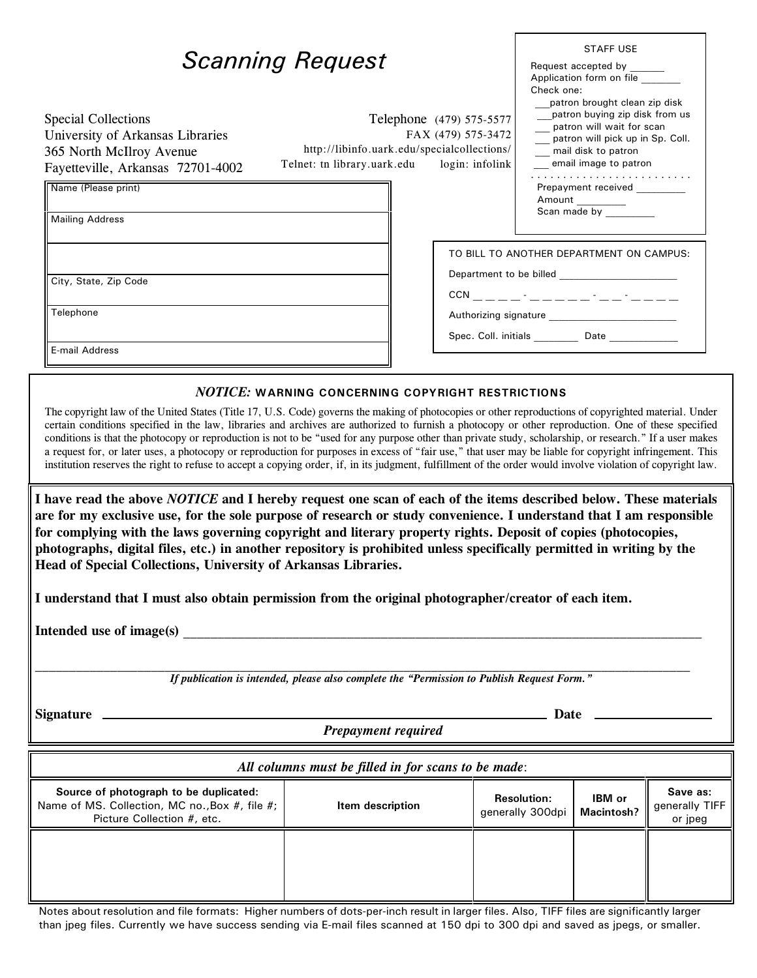| <b>Scanning Request</b>                                                                                                                                                                                                                                                                                                                                                                                                                                                                                                                                                                                                                                                                                                                                                                            |                                                                                                                                                 | <b>STAFF USE</b><br>Request accepted by ______<br>Application form on file<br>Check one:<br>patron brought clean zip disk                               |
|----------------------------------------------------------------------------------------------------------------------------------------------------------------------------------------------------------------------------------------------------------------------------------------------------------------------------------------------------------------------------------------------------------------------------------------------------------------------------------------------------------------------------------------------------------------------------------------------------------------------------------------------------------------------------------------------------------------------------------------------------------------------------------------------------|-------------------------------------------------------------------------------------------------------------------------------------------------|---------------------------------------------------------------------------------------------------------------------------------------------------------|
| <b>Special Collections</b><br>University of Arkansas Libraries<br>365 North McIlroy Avenue<br>Fayetteville, Arkansas 72701-4002                                                                                                                                                                                                                                                                                                                                                                                                                                                                                                                                                                                                                                                                    | Telephone (479) 575-5577<br>FAX (479) 575-3472<br>http://libinfo.uark.edu/specialcollections/<br>Telnet: tn library.uark.edu<br>login: infolink | __patron buying zip disk from us<br>__ patron will wait for scan<br>__ patron will pick up in Sp. Coll.<br>mail disk to patron<br>email image to patron |
| Name (Please print)<br><b>Mailing Address</b>                                                                                                                                                                                                                                                                                                                                                                                                                                                                                                                                                                                                                                                                                                                                                      |                                                                                                                                                 | Prepayment received ________<br>Amount<br>Scan made by ___________                                                                                      |
|                                                                                                                                                                                                                                                                                                                                                                                                                                                                                                                                                                                                                                                                                                                                                                                                    |                                                                                                                                                 | TO BILL TO ANOTHER DEPARTMENT ON CAMPUS:                                                                                                                |
| City, State, Zip Code                                                                                                                                                                                                                                                                                                                                                                                                                                                                                                                                                                                                                                                                                                                                                                              |                                                                                                                                                 |                                                                                                                                                         |
| Telephone                                                                                                                                                                                                                                                                                                                                                                                                                                                                                                                                                                                                                                                                                                                                                                                          |                                                                                                                                                 |                                                                                                                                                         |
|                                                                                                                                                                                                                                                                                                                                                                                                                                                                                                                                                                                                                                                                                                                                                                                                    |                                                                                                                                                 | Spec. Coll. initials Date Date                                                                                                                          |
| E-mail Address                                                                                                                                                                                                                                                                                                                                                                                                                                                                                                                                                                                                                                                                                                                                                                                     |                                                                                                                                                 |                                                                                                                                                         |
|                                                                                                                                                                                                                                                                                                                                                                                                                                                                                                                                                                                                                                                                                                                                                                                                    | $NOTICE:$ WARNING CONCERNING COPYRIGHT RESTRICTIONS                                                                                             |                                                                                                                                                         |
| The copyright law of the United States (Title 17, U.S. Code) governs the making of photocopies or other reproductions of copyrighted material. Under<br>certain conditions specified in the law, libraries and archives are authorized to furnish a photocopy or other reproduction. One of these specified<br>conditions is that the photocopy or reproduction is not to be "used for any purpose other than private study, scholarship, or research." If a user makes<br>a request for, or later uses, a photocopy or reproduction for purposes in excess of "fair use," that user may be liable for copyright infringement. This<br>institution reserves the right to refuse to accept a copying order, if, in its judgment, fulfillment of the order would involve violation of copyright law. |                                                                                                                                                 |                                                                                                                                                         |

**I have read the above** *NOTICE* **and I hereby request one scan of each of the items described below. These materials are for my exclusive use, for the sole purpose of research or study convenience. I understand that I am responsible for complying with the laws governing copyright and literary property rights. Deposit of copies (photocopies, photographs, digital files, etc.) in another repository is prohibited unless specifically permitted in writing by the Head of Special Collections, University of Arkansas Libraries.**

**I understand that I must also obtain permission from the original photographer/creator of each item.**

Intended use of image(s)

*If publication is intended, please also complete the "Permission to Publish Request Form."*

Signature **because the contract of the contract of the contract of the contract of the contract of the contract of the contract of the contract of the contract of the contract of the contract of the contract of the contrac** 

*Prepayment required*

| All columns must be filled in for scans to be made:                                                                    |                  |                                        |                                    |                                       |  |
|------------------------------------------------------------------------------------------------------------------------|------------------|----------------------------------------|------------------------------------|---------------------------------------|--|
| Source of photograph to be duplicated:<br>Name of MS. Collection, MC no., Box #, file #;<br>Picture Collection #, etc. | Item description | <b>Resolution:</b><br>generally 300dpi | <b>IBM</b> or<br><b>Macintosh?</b> | Save as:<br>generally TIFF<br>or jpeg |  |
|                                                                                                                        |                  |                                        |                                    |                                       |  |

Notes about resolution and file formats: Higher numbers of dots-per-inch result in larger files. Also, TIFF files are significantly larger than jpeg files. Currently we have success sending via E-mail files scanned at 150 dpi to 300 dpi and saved as jpegs, or smaller.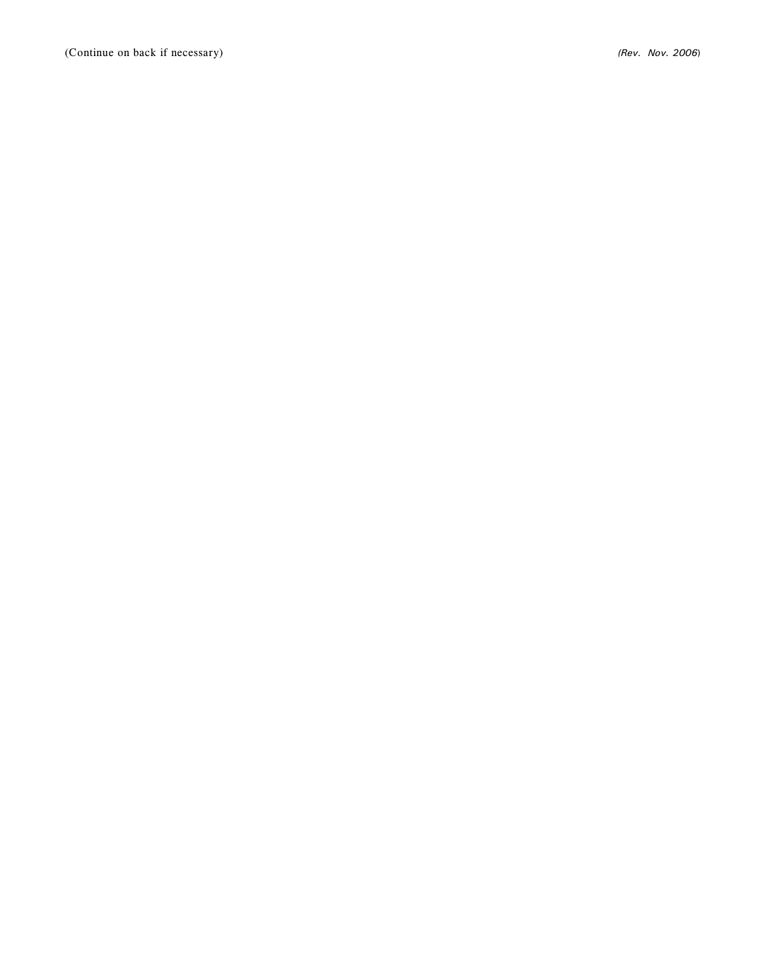(Continue on back if necessary) *(Rev. Nov. 2006*)